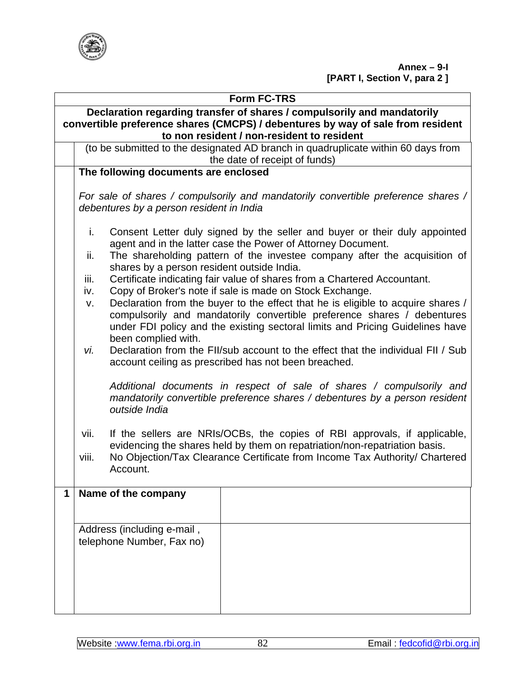

| <b>Form FC-TRS</b>                                                      |                                                                                      |                                                                             |                                                                                   |  |  |  |  |
|-------------------------------------------------------------------------|--------------------------------------------------------------------------------------|-----------------------------------------------------------------------------|-----------------------------------------------------------------------------------|--|--|--|--|
| Declaration regarding transfer of shares / compulsorily and mandatorily |                                                                                      |                                                                             |                                                                                   |  |  |  |  |
|                                                                         |                                                                                      |                                                                             | convertible preference shares (CMCPS) / debentures by way of sale from resident   |  |  |  |  |
|                                                                         |                                                                                      |                                                                             | to non resident / non-resident to resident                                        |  |  |  |  |
|                                                                         | (to be submitted to the designated AD branch in quadruplicate within 60 days from    |                                                                             |                                                                                   |  |  |  |  |
|                                                                         |                                                                                      | the date of receipt of funds)                                               |                                                                                   |  |  |  |  |
|                                                                         | The following documents are enclosed                                                 |                                                                             |                                                                                   |  |  |  |  |
|                                                                         |                                                                                      |                                                                             | For sale of shares / compulsorily and mandatorily convertible preference shares / |  |  |  |  |
|                                                                         |                                                                                      | debentures by a person resident in India                                    |                                                                                   |  |  |  |  |
|                                                                         |                                                                                      |                                                                             |                                                                                   |  |  |  |  |
|                                                                         | i.<br>Consent Letter duly signed by the seller and buyer or their duly appointed     |                                                                             |                                                                                   |  |  |  |  |
|                                                                         |                                                                                      |                                                                             | agent and in the latter case the Power of Attorney Document.                      |  |  |  |  |
|                                                                         | ii.                                                                                  | shares by a person resident outside India.                                  | The shareholding pattern of the investee company after the acquisition of         |  |  |  |  |
|                                                                         | iii.                                                                                 |                                                                             | Certificate indicating fair value of shares from a Chartered Accountant.          |  |  |  |  |
|                                                                         | iv.                                                                                  |                                                                             | Copy of Broker's note if sale is made on Stock Exchange.                          |  |  |  |  |
|                                                                         | V.                                                                                   |                                                                             | Declaration from the buyer to the effect that he is eligible to acquire shares /  |  |  |  |  |
|                                                                         |                                                                                      |                                                                             | compulsorily and mandatorily convertible preference shares / debentures           |  |  |  |  |
|                                                                         |                                                                                      |                                                                             | under FDI policy and the existing sectoral limits and Pricing Guidelines have     |  |  |  |  |
|                                                                         |                                                                                      | been complied with.                                                         |                                                                                   |  |  |  |  |
|                                                                         | vi.                                                                                  |                                                                             | Declaration from the FII/sub account to the effect that the individual FII / Sub  |  |  |  |  |
|                                                                         |                                                                                      |                                                                             | account ceiling as prescribed has not been breached.                              |  |  |  |  |
|                                                                         |                                                                                      |                                                                             |                                                                                   |  |  |  |  |
|                                                                         |                                                                                      | Additional documents in respect of sale of shares / compulsorily and        |                                                                                   |  |  |  |  |
|                                                                         |                                                                                      | mandatorily convertible preference shares / debentures by a person resident |                                                                                   |  |  |  |  |
|                                                                         | outside India                                                                        |                                                                             |                                                                                   |  |  |  |  |
|                                                                         | If the sellers are NRIs/OCBs, the copies of RBI approvals, if applicable,<br>vii.    |                                                                             |                                                                                   |  |  |  |  |
|                                                                         | evidencing the shares held by them on repatriation/non-repatriation basis.           |                                                                             |                                                                                   |  |  |  |  |
|                                                                         | No Objection/Tax Clearance Certificate from Income Tax Authority/ Chartered<br>viii. |                                                                             |                                                                                   |  |  |  |  |
|                                                                         | Account.                                                                             |                                                                             |                                                                                   |  |  |  |  |
|                                                                         |                                                                                      |                                                                             |                                                                                   |  |  |  |  |
| 1                                                                       |                                                                                      | Name of the company                                                         |                                                                                   |  |  |  |  |
|                                                                         |                                                                                      |                                                                             |                                                                                   |  |  |  |  |
|                                                                         |                                                                                      |                                                                             |                                                                                   |  |  |  |  |
|                                                                         | Address (including e-mail,                                                           |                                                                             |                                                                                   |  |  |  |  |
|                                                                         | telephone Number, Fax no)                                                            |                                                                             |                                                                                   |  |  |  |  |
|                                                                         |                                                                                      |                                                                             |                                                                                   |  |  |  |  |
|                                                                         |                                                                                      |                                                                             |                                                                                   |  |  |  |  |
|                                                                         |                                                                                      |                                                                             |                                                                                   |  |  |  |  |
|                                                                         |                                                                                      |                                                                             |                                                                                   |  |  |  |  |
|                                                                         |                                                                                      |                                                                             |                                                                                   |  |  |  |  |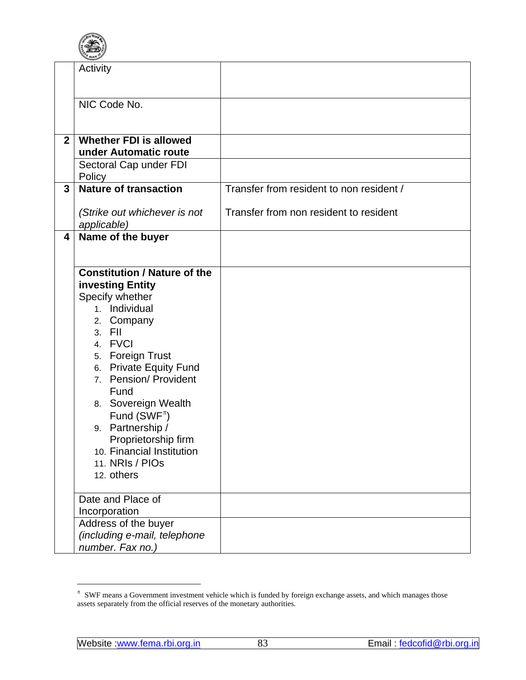

<span id="page-1-0"></span>

|                | Activity                                               |                                          |
|----------------|--------------------------------------------------------|------------------------------------------|
|                | NIC Code No.                                           |                                          |
| 2 <sup>1</sup> | <b>Whether FDI is allowed</b><br>under Automatic route |                                          |
|                | Sectoral Cap under FDI<br>Policy                       |                                          |
| $\mathbf{3}$   | <b>Nature of transaction</b>                           | Transfer from resident to non resident / |
|                | (Strike out whichever is not<br>applicable)            | Transfer from non resident to resident   |
| 4              | Name of the buyer                                      |                                          |
|                | <b>Constitution / Nature of the</b>                    |                                          |
|                | investing Entity                                       |                                          |
|                | Specify whether                                        |                                          |
|                | 1. Individual                                          |                                          |
|                | 2. Company<br>3. FII                                   |                                          |
|                | 4. FVCI                                                |                                          |
|                | 5. Foreign Trust                                       |                                          |
|                | 6. Private Equity Fund                                 |                                          |
|                | 7. Pension/ Provident                                  |                                          |
|                | Fund<br>8. Sovereign Wealth                            |                                          |
|                | Fund (SWF <sup><math>\pi</math></sup> )                |                                          |
|                | 9. Partnership /                                       |                                          |
|                | Proprietorship firm                                    |                                          |
|                | 10. Financial Institution<br>11. NRIs / PIOs           |                                          |
|                | 12. others                                             |                                          |
|                |                                                        |                                          |
|                | Date and Place of<br>Incorporation                     |                                          |
|                | Address of the buyer                                   |                                          |
|                | (including e-mail, telephone                           |                                          |
|                | number. Fax no.)                                       |                                          |

 $\overline{a}$ 

 $\pi$  SWF means a Government investment vehicle which is funded by foreign exchange assets, and which manages those assets separately from the official reserves of the monetary authorities.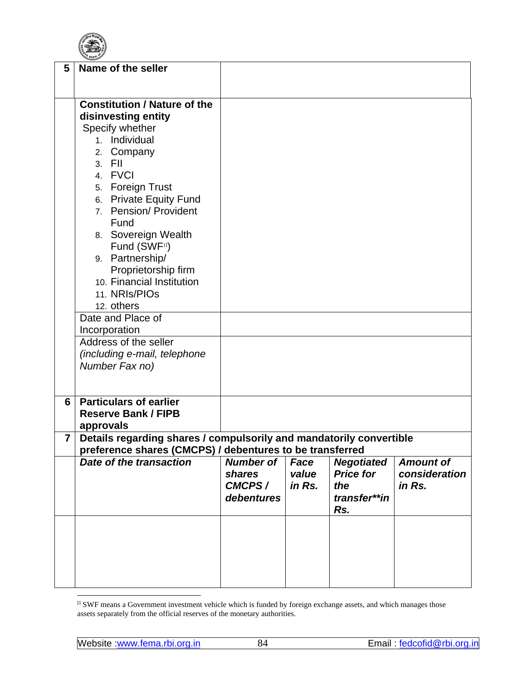

<span id="page-2-0"></span>

| 5              | Name of the seller                                                                                                              |                  |        |                   |                  |  |
|----------------|---------------------------------------------------------------------------------------------------------------------------------|------------------|--------|-------------------|------------------|--|
|                |                                                                                                                                 |                  |        |                   |                  |  |
|                |                                                                                                                                 |                  |        |                   |                  |  |
|                | <b>Constitution / Nature of the</b>                                                                                             |                  |        |                   |                  |  |
|                | disinvesting entity                                                                                                             |                  |        |                   |                  |  |
|                | Specify whether                                                                                                                 |                  |        |                   |                  |  |
|                | 1. Individual                                                                                                                   |                  |        |                   |                  |  |
|                | 2. Company                                                                                                                      |                  |        |                   |                  |  |
|                | 3. FII                                                                                                                          |                  |        |                   |                  |  |
|                | 4. FVCI                                                                                                                         |                  |        |                   |                  |  |
|                | 5. Foreign Trust                                                                                                                |                  |        |                   |                  |  |
|                | 6. Private Equity Fund                                                                                                          |                  |        |                   |                  |  |
|                | 7. Pension/ Provident                                                                                                           |                  |        |                   |                  |  |
|                | Fund                                                                                                                            |                  |        |                   |                  |  |
|                | 8. Sovereign Wealth                                                                                                             |                  |        |                   |                  |  |
|                | Fund (SWF <sup>n</sup> )                                                                                                        |                  |        |                   |                  |  |
|                | 9. Partnership/                                                                                                                 |                  |        |                   |                  |  |
|                | Proprietorship firm                                                                                                             |                  |        |                   |                  |  |
|                | 10. Financial Institution                                                                                                       |                  |        |                   |                  |  |
|                | 11. NRIs/PIOs                                                                                                                   |                  |        |                   |                  |  |
|                | 12. others                                                                                                                      |                  |        |                   |                  |  |
|                | Date and Place of                                                                                                               |                  |        |                   |                  |  |
|                | Incorporation                                                                                                                   |                  |        |                   |                  |  |
|                | Address of the seller                                                                                                           |                  |        |                   |                  |  |
|                | (including e-mail, telephone                                                                                                    |                  |        |                   |                  |  |
|                | Number Fax no)                                                                                                                  |                  |        |                   |                  |  |
|                |                                                                                                                                 |                  |        |                   |                  |  |
| 6              | <b>Particulars of earlier</b>                                                                                                   |                  |        |                   |                  |  |
|                | <b>Reserve Bank / FIPB</b>                                                                                                      |                  |        |                   |                  |  |
|                | approvals                                                                                                                       |                  |        |                   |                  |  |
| $\overline{7}$ |                                                                                                                                 |                  |        |                   |                  |  |
|                | Details regarding shares / compulsorily and mandatorily convertible<br>preference shares (CMCPS) / debentures to be transferred |                  |        |                   |                  |  |
|                | Date of the transaction                                                                                                         | <b>Number of</b> | Face   | <b>Negotiated</b> | <b>Amount of</b> |  |
|                |                                                                                                                                 | shares           | value  | <b>Price for</b>  | consideration    |  |
|                |                                                                                                                                 | CMCPS/           | in Rs. | the               | in Rs.           |  |
|                |                                                                                                                                 | debentures       |        | transfer**in      |                  |  |
|                |                                                                                                                                 |                  |        | Rs.               |                  |  |
|                |                                                                                                                                 |                  |        |                   |                  |  |
|                |                                                                                                                                 |                  |        |                   |                  |  |
|                |                                                                                                                                 |                  |        |                   |                  |  |
|                |                                                                                                                                 |                  |        |                   |                  |  |
|                |                                                                                                                                 |                  |        |                   |                  |  |
|                |                                                                                                                                 |                  |        |                   |                  |  |

 $\overline{a}$  $\pi$  SWF means a Government investment vehicle which is funded by foreign exchange assets, and which manages those assets separately from the official reserves of the monetary authorities.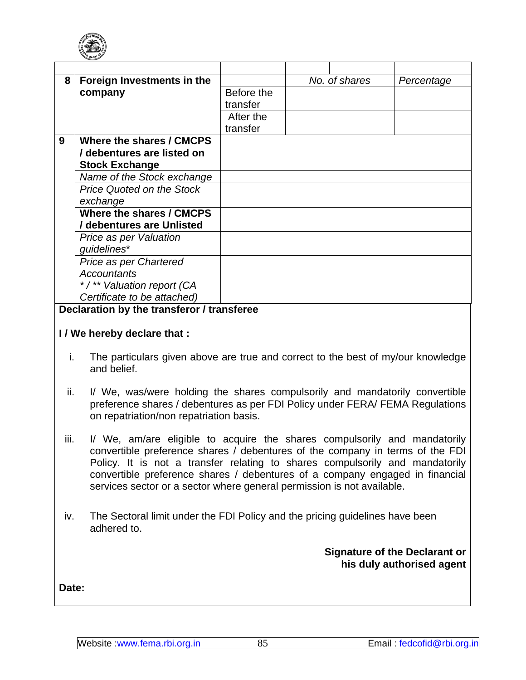

| 8 | Foreign Investments in the       | No. of shares |  | Percentage |
|---|----------------------------------|---------------|--|------------|
|   | company                          | Before the    |  |            |
|   |                                  | transfer      |  |            |
|   |                                  | After the     |  |            |
|   |                                  | transfer      |  |            |
| 9 | Where the shares / CMCPS         |               |  |            |
|   | / debentures are listed on       |               |  |            |
|   | <b>Stock Exchange</b>            |               |  |            |
|   | Name of the Stock exchange       |               |  |            |
|   | <b>Price Quoted on the Stock</b> |               |  |            |
|   | exchange                         |               |  |            |
|   | Where the shares / CMCPS         |               |  |            |
|   | / debentures are Unlisted        |               |  |            |
|   | Price as per Valuation           |               |  |            |
|   | guidelines*                      |               |  |            |
|   | Price as per Chartered           |               |  |            |
|   | <b>Accountants</b>               |               |  |            |
|   | */** Valuation report (CA        |               |  |            |
|   | Certificate to be attached)      |               |  |            |

## **Declaration by the transferor / transferee**

## **I / We hereby declare that :**

- i. The particulars given above are true and correct to the best of my/our knowledge and belief.
- ii. I/ We, was/were holding the shares compulsorily and mandatorily convertible preference shares / debentures as per FDI Policy under FERA/ FEMA Regulations on repatriation/non repatriation basis.
- iii. I/ We, am/are eligible to acquire the shares compulsorily and mandatorily convertible preference shares / debentures of the company in terms of the FDI Policy. It is not a transfer relating to shares compulsorily and mandatorily convertible preference shares / debentures of a company engaged in financial services sector or a sector where general permission is not available.
- iv. The Sectoral limit under the FDI Policy and the pricing guidelines have been adhered to.

**Signature of the Declarant or his duly authorised agent**

**Date:**